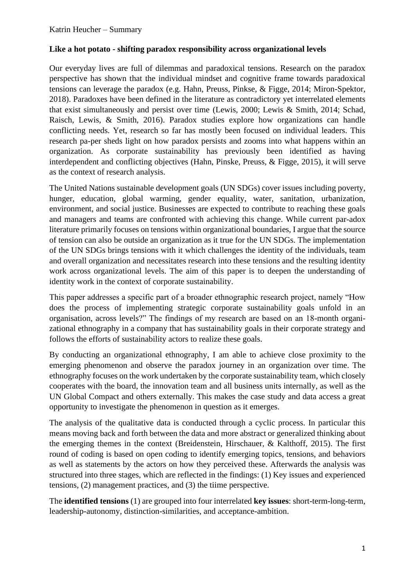## **Like a hot potato - shifting paradox responsibility across organizational levels**

Our everyday lives are full of dilemmas and paradoxical tensions. Research on the paradox perspective has shown that the individual mindset and cognitive frame towards paradoxical tensions can leverage the paradox (e.g. Hahn, Preuss, Pinkse, & Figge, 2014; Miron-Spektor, 2018). Paradoxes have been defined in the literature as contradictory yet interrelated elements that exist simultaneously and persist over time (Lewis, 2000; Lewis & Smith, 2014; Schad, Raisch, Lewis, & Smith, 2016). Paradox studies explore how organizations can handle conflicting needs. Yet, research so far has mostly been focused on individual leaders. This research pa-per sheds light on how paradox persists and zooms into what happens within an organization. As corporate sustainability has previously been identified as having interdependent and conflicting objectives (Hahn, Pinske, Preuss, & Figge, 2015), it will serve as the context of research analysis.

The United Nations sustainable development goals (UN SDGs) cover issues including poverty, hunger, education, global warming, gender equality, water, sanitation, urbanization, environment, and social justice. Businesses are expected to contribute to reaching these goals and managers and teams are confronted with achieving this change. While current par-adox literature primarily focuses on tensions within organizational boundaries, I argue that the source of tension can also be outside an organization as it true for the UN SDGs. The implementation of the UN SDGs brings tensions with it which challenges the identity of the individuals, team and overall organization and necessitates research into these tensions and the resulting identity work across organizational levels. The aim of this paper is to deepen the understanding of identity work in the context of corporate sustainability.

This paper addresses a specific part of a broader ethnographic research project, namely "How does the process of implementing strategic corporate sustainability goals unfold in an organisation, across levels?" The findings of my research are based on an 18-month organizational ethnography in a company that has sustainability goals in their corporate strategy and follows the efforts of sustainability actors to realize these goals.

By conducting an organizational ethnography, I am able to achieve close proximity to the emerging phenomenon and observe the paradox journey in an organization over time. The ethnography focuses on the work undertaken by the corporate sustainability team, which closely cooperates with the board, the innovation team and all business units internally, as well as the UN Global Compact and others externally. This makes the case study and data access a great opportunity to investigate the phenomenon in question as it emerges.

The analysis of the qualitative data is conducted through a cyclic process. In particular this means moving back and forth between the data and more abstract or generalized thinking about the emerging themes in the context (Breidenstein, Hirschauer, & Kalthoff, 2015). The first round of coding is based on open coding to identify emerging topics, tensions, and behaviors as well as statements by the actors on how they perceived these. Afterwards the analysis was structured into three stages, which are reflected in the findings: (1) Key issues and experienced tensions, (2) management practices, and (3) the tiime perspective.

The **identified tensions** (1) are grouped into four interrelated **key issues**: short-term-long-term, leadership-autonomy, distinction-similarities, and acceptance-ambition.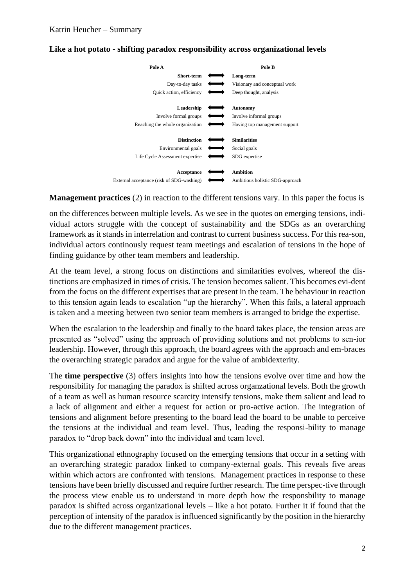| Pole A                                                                       | Pole B                                               |
|------------------------------------------------------------------------------|------------------------------------------------------|
| Short-term                                                                   | Long-term                                            |
| Day-to-day tasks                                                             | Visionary and conceptual work                        |
| Quick action, efficiency                                                     | Deep thought, analysis                               |
| Leadership                                                                   | Autonomy                                             |
| Involve formal groups                                                        | Involve informal groups                              |
| Reaching the whole organization                                              | Having top management support                        |
| <b>Distinction</b><br>Environmental goals<br>Life Cycle Assessment expertise | <b>Similarities</b><br>Social goals<br>SDG expertise |
| Acceptance                                                                   | <b>Ambition</b>                                      |
| External acceptance (risk of SDG-washing)                                    | Ambitious holistic SDG-approach                      |

## **Like a hot potato - shifting paradox responsibility across organizational levels**

**Management practices** (2) in reaction to the different tensions vary. In this paper the focus is

on the differences between multiple levels. As we see in the quotes on emerging tensions, individual actors struggle with the concept of sustainability and the SDGs as an overarching framework as it stands in interrelation and contrast to current business success. For this rea-son, individual actors continously request team meetings and escalation of tensions in the hope of finding guidance by other team members and leadership.

At the team level, a strong focus on distinctions and similarities evolves, whereof the distinctions are emphasized in times of crisis. The tension becomes salient. This becomes evi-dent from the focus on the different expertises that are present in the team. The behaviour in reaction to this tension again leads to escalation "up the hierarchy". When this fails, a lateral approach is taken and a meeting between two senior team members is arranged to bridge the expertise.

When the escalation to the leadership and finally to the board takes place, the tension areas are presented as "solved" using the approach of providing solutions and not problems to sen-ior leadership. However, through this approach, the board agrees with the approach and em-braces the overarching strategic paradox and argue for the value of ambidexterity.

The **time perspective** (3) offers insights into how the tensions evolve over time and how the responsibility for managing the paradox is shifted across organzational levels. Both the growth of a team as well as human resource scarcity intensify tensions, make them salient and lead to a lack of alignment and either a request for action or pro-active action. The integration of tensions and alignment before presenting to the board lead the board to be unable to perceive the tensions at the individual and team level. Thus, leading the responsi-bility to manage paradox to "drop back down" into the individual and team level.

This organizational ethnography focused on the emerging tensions that occur in a setting with an overarching strategic paradox linked to company-external goals. This reveals five areas within which actors are confronted with tensions. Management practices in response to these tensions have been briefly discussed and require further research. The time perspec-tive through the process view enable us to understand in more depth how the responsbility to manage paradox is shifted across organizational levels – like a hot potato. Further it if found that the perception of intensity of the paradox is influenced significantly by the position in the hierarchy due to the different management practices.